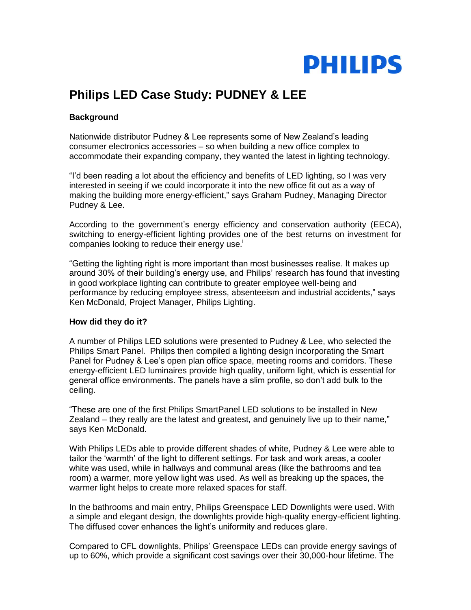

## **Philips LED Case Study: PUDNEY & LEE**

## **Background**

Nationwide distributor Pudney & Lee represents some of New Zealand"s leading consumer electronics accessories – so when building a new office complex to accommodate their expanding company, they wanted the latest in lighting technology.

"I"d been reading a lot about the efficiency and benefits of LED lighting, so I was very interested in seeing if we could incorporate it into the new office fit out as a way of making the building more energy-efficient," says Graham Pudney, Managing Director Pudney & Lee.

According to the government's energy efficiency and conservation authority (EECA), switching to energy-efficient lighting provides one of the best returns on investment for companies looking to reduce their energy use.

"Getting the lighting right is more important than most businesses realise. It makes up around 30% of their building"s energy use, and Philips" research has found that investing in good workplace lighting can contribute to greater employee well-being and performance by reducing employee stress, absenteeism and industrial accidents," says Ken McDonald, Project Manager, Philips Lighting.

## **How did they do it?**

A number of Philips LED solutions were presented to Pudney & Lee, who selected the Philips Smart Panel. Philips then compiled a lighting design incorporating the Smart Panel for Pudney & Lee's open plan office space, meeting rooms and corridors. These energy-efficient LED luminaires provide high quality, uniform light, which is essential for general office environments. The panels have a slim profile, so don"t add bulk to the ceiling.

"These are one of the first Philips SmartPanel LED solutions to be installed in New Zealand – they really are the latest and greatest, and genuinely live up to their name," says Ken McDonald.

With Philips LEDs able to provide different shades of white, Pudney & Lee were able to tailor the "warmth" of the light to different settings. For task and work areas, a cooler white was used, while in hallways and communal areas (like the bathrooms and tea room) a warmer, more yellow light was used. As well as breaking up the spaces, the warmer light helps to create more relaxed spaces for staff.

In the bathrooms and main entry, Philips Greenspace LED Downlights were used. With a simple and elegant design, the downlights provide high-quality energy-efficient lighting. The diffused cover enhances the light"s uniformity and reduces glare.

Compared to CFL downlights, Philips" Greenspace LEDs can provide energy savings of up to 60%, which provide a significant cost savings over their 30,000-hour lifetime. The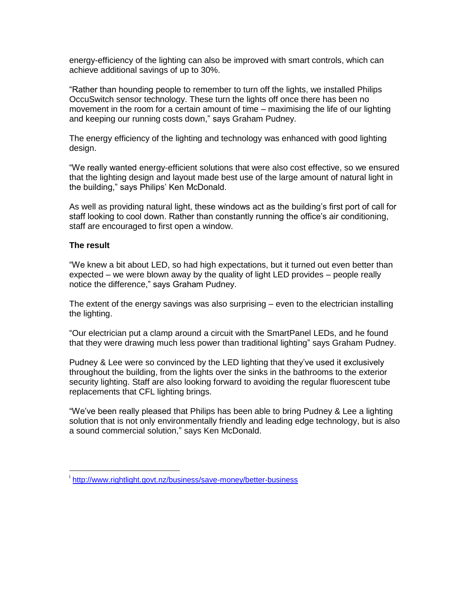energy-efficiency of the lighting can also be improved with smart controls, which can achieve additional savings of up to 30%.

"Rather than hounding people to remember to turn off the lights, we installed Philips OccuSwitch sensor technology. These turn the lights off once there has been no movement in the room for a certain amount of time – maximising the life of our lighting and keeping our running costs down," says Graham Pudney.

The energy efficiency of the lighting and technology was enhanced with good lighting design.

"We really wanted energy-efficient solutions that were also cost effective, so we ensured that the lighting design and layout made best use of the large amount of natural light in the building," says Philips' Ken McDonald.

As well as providing natural light, these windows act as the building"s first port of call for staff looking to cool down. Rather than constantly running the office's air conditioning, staff are encouraged to first open a window.

## **The result**

 $\overline{a}$ 

"We knew a bit about LED, so had high expectations, but it turned out even better than expected – we were blown away by the quality of light LED provides – people really notice the difference," says Graham Pudney.

The extent of the energy savings was also surprising – even to the electrician installing the lighting.

"Our electrician put a clamp around a circuit with the SmartPanel LEDs, and he found that they were drawing much less power than traditional lighting" says Graham Pudney.

Pudney & Lee were so convinced by the LED lighting that they"ve used it exclusively throughout the building, from the lights over the sinks in the bathrooms to the exterior security lighting. Staff are also looking forward to avoiding the regular fluorescent tube replacements that CFL lighting brings.

"We"ve been really pleased that Philips has been able to bring Pudney & Lee a lighting solution that is not only environmentally friendly and leading edge technology, but is also a sound commercial solution," says Ken McDonald.

i <http://www.rightlight.govt.nz/business/save-money/better-business>